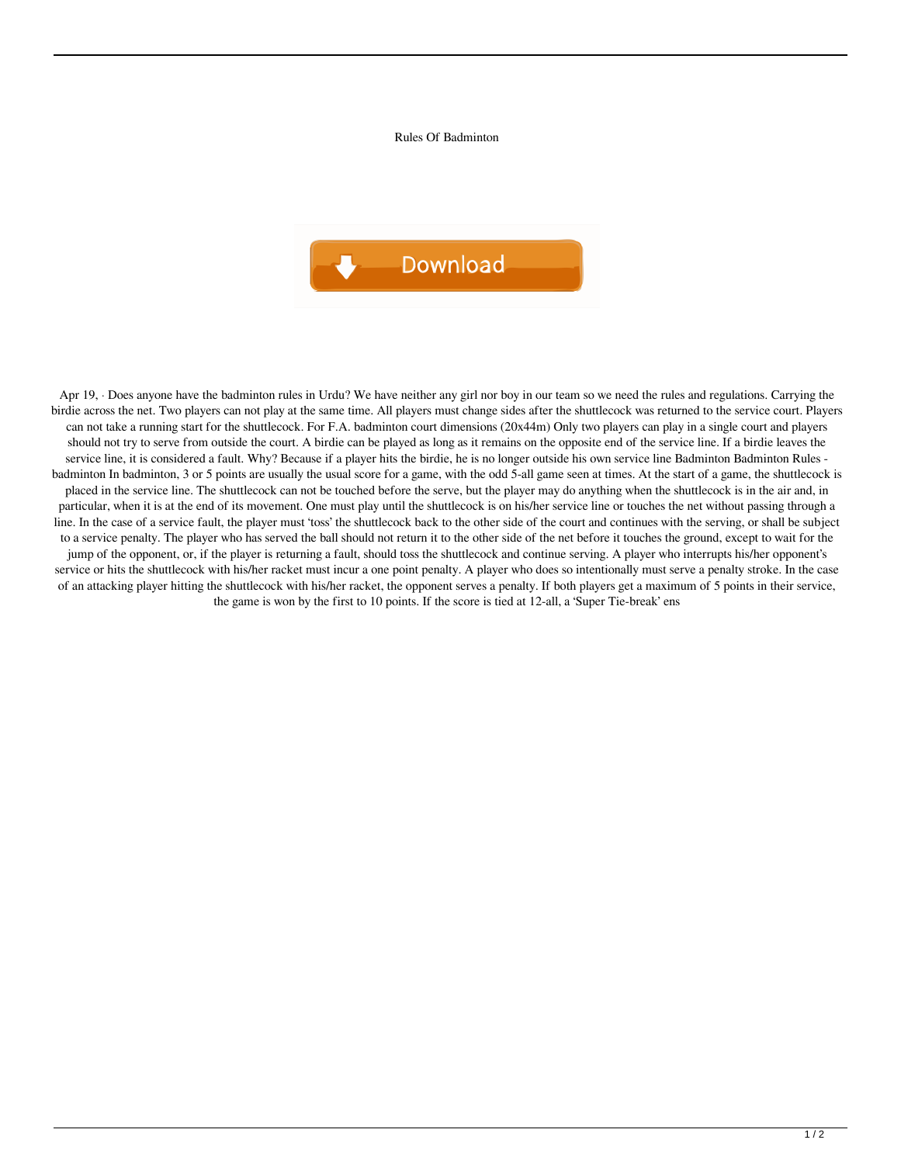Rules Of Badminton



Apr 19, · Does anyone have the badminton rules in Urdu? We have neither any girl nor boy in our team so we need the rules and regulations. Carrying the birdie across the net. Two players can not play at the same time. All players must change sides after the shuttlecock was returned to the service court. Players can not take a running start for the shuttlecock. For F.A. badminton court dimensions (20x44m) Only two players can play in a single court and players should not try to serve from outside the court. A birdie can be played as long as it remains on the opposite end of the service line. If a birdie leaves the service line, it is considered a fault. Why? Because if a player hits the birdie, he is no longer outside his own service line Badminton Badminton Rules badminton In badminton, 3 or 5 points are usually the usual score for a game, with the odd 5-all game seen at times. At the start of a game, the shuttlecock is placed in the service line. The shuttlecock can not be touched before the serve, but the player may do anything when the shuttlecock is in the air and, in particular, when it is at the end of its movement. One must play until the shuttlecock is on his/her service line or touches the net without passing through a line. In the case of a service fault, the player must 'toss' the shuttlecock back to the other side of the court and continues with the serving, or shall be subject to a service penalty. The player who has served the ball should not return it to the other side of the net before it touches the ground, except to wait for the jump of the opponent, or, if the player is returning a fault, should toss the shuttlecock and continue serving. A player who interrupts his/her opponent's service or hits the shuttlecock with his/her racket must incur a one point penalty. A player who does so intentionally must serve a penalty stroke. In the case of an attacking player hitting the shuttlecock with his/her racket, the opponent serves a penalty. If both players get a maximum of 5 points in their service, the game is won by the first to 10 points. If the score is tied at 12-all, a 'Super Tie-break' ens